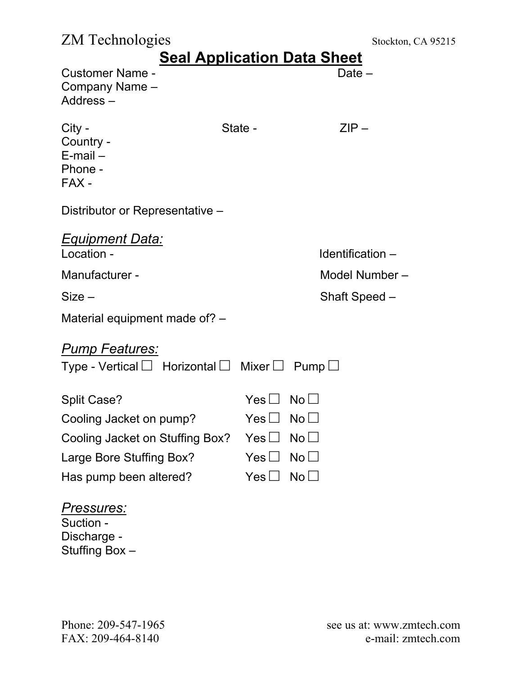## ZM Technologies Stockton, CA 95215

| <b>Seal Application Data Sheet</b>                                                         |                        |             |                    |  |
|--------------------------------------------------------------------------------------------|------------------------|-------------|--------------------|--|
| <b>Customer Name -</b><br>Company Name -<br>Address-                                       |                        |             | Date $-$           |  |
| City -<br>Country -<br>$E$ -mail $-$<br>Phone -<br>FAX -                                   | State -                |             | $ZIP -$            |  |
| Distributor or Representative -                                                            |                        |             |                    |  |
| <b>Equipment Data:</b><br>Location -                                                       |                        |             | Identification $-$ |  |
| Manufacturer -                                                                             |                        |             | Model Number-      |  |
| $Size -$                                                                                   |                        |             | Shaft Speed -      |  |
| Material equipment made of? -                                                              |                        |             |                    |  |
| <b>Pump Features:</b><br>Type - Vertical $\Box$ Horizontal $\Box$ Mixer $\Box$ Pump $\Box$ |                        |             |                    |  |
| <b>Split Case?</b>                                                                         | $Yes \Box No \Box$     |             |                    |  |
| Cooling Jacket on pump?                                                                    | $Yes \sqcup No \sqcup$ |             |                    |  |
| Cooling Jacket on Stuffing Box?                                                            | Yes I                  | No l        |                    |  |
| Large Bore Stuffing Box?                                                                   | $Yes \Box$             | $No$ $\Box$ |                    |  |
| Has pump been altered?                                                                     | $Yes \Box$             | $No$ $\Box$ |                    |  |
| <u>Pressures:</u><br>Suction -<br>Diooborgo                                                |                        |             |                    |  |

Discharge - Stuffing Box –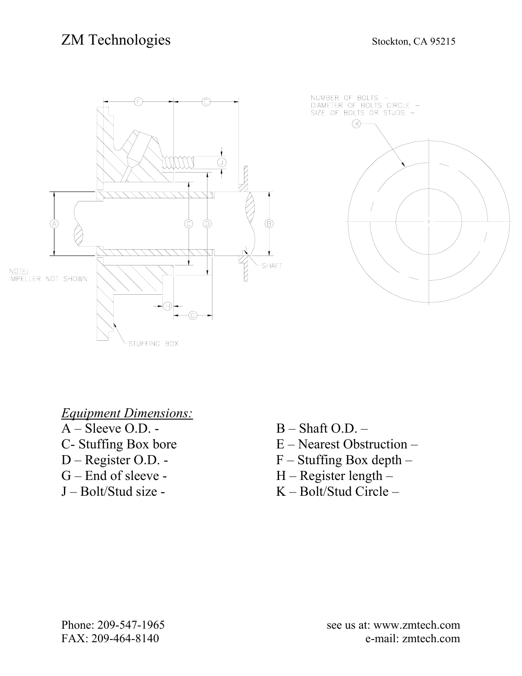## ZM Technologies Stockton, CA 95215





*Equipment Dimensions:*

- 
- 
- 
- 
- $A Sleeve O.D. B Shaff O.D. -$
- C- Stuffing Box bore  $E -$  Nearest Obstruction –
- D Register O.D. F Stuffing Box depth –
- $G$  End of sleeve  $H$  Register length –
- J Bolt/Stud size K Bolt/Stud Circle –